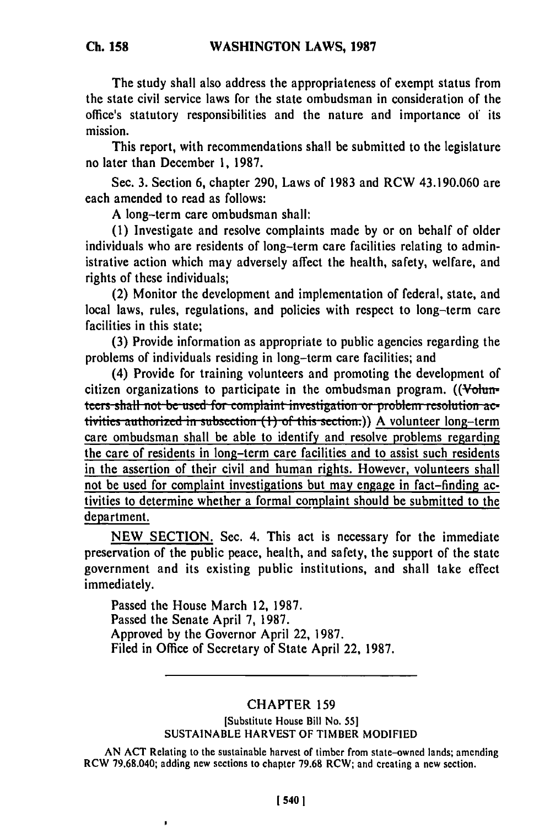**The** study shall also address the appropriateness of exempt status from the state civil service laws for the state ombudsman in consideration of the office's statutory responsibilities and the nature and importance **of** its mission.

This report, with recommendations shall be submitted to the legislature no later than December **1, 1987.**

Sec. **3.** Section **6,** chapter **290,** Laws of **1983** and RCW 43.190.060 are each amended to read as follows:

**A** long-term care ombudsman shall:

**(1)** Investigate and resolve complaints made **by** or on behalf of older individuals who are residents of long-term care facilities relating to administrative action which may adversely affect the health, safety, welfare, and rights of these individuals;

(2) Monitor the development and implementation of federal, state, and local laws, rules, regulations, and policies with respect to long-term care facilities in this state;

**(3)** Provide information as appropriate to public agencies regarding the problems of individuals residing in long-term care facilities; and

(4) Provide for training volunteers and promoting the development of citizen organizations to participate in the ombudsman program.  $($ Vohumteers shall not be used for complaint investigation or problem resolution activities authorized in subsection (1) of this section.)) A volunteer long-term care ombudsman shall be able to identify and resolve problems regarding the care of residents in long-term care facilities and to assist such residents in the assertion of their civil and human rights. However, volunteers shall not be used for complaint investigations but may engage in fact-finding activities to determine whether a formal complaint should be submitted to the department.

**NEW SECTION.** Sec. 4. This act is necessary for the immediate preservation of the public peace, health, and safety, the support of the state government and its existing public institutions, and shall take effect immediately.

Passed the House March 12, **1987.** Passed the Senate April **7, 1987.** Approved **by** the Governor April 22, **1987.** Filed in Office of Secretary of State April 22, **1987.**

## CHAPTER **159**

## [Substitute House Bill No. **55] SUSTAINABLE** HARVEST OF TIMBER MODIFIED

**AN ACT** Relating to the sustainable harvest of timber from state-owned lands; amending RCW 79.68.040; adding new sections to chapter **79.68** RCW; and creating a new section.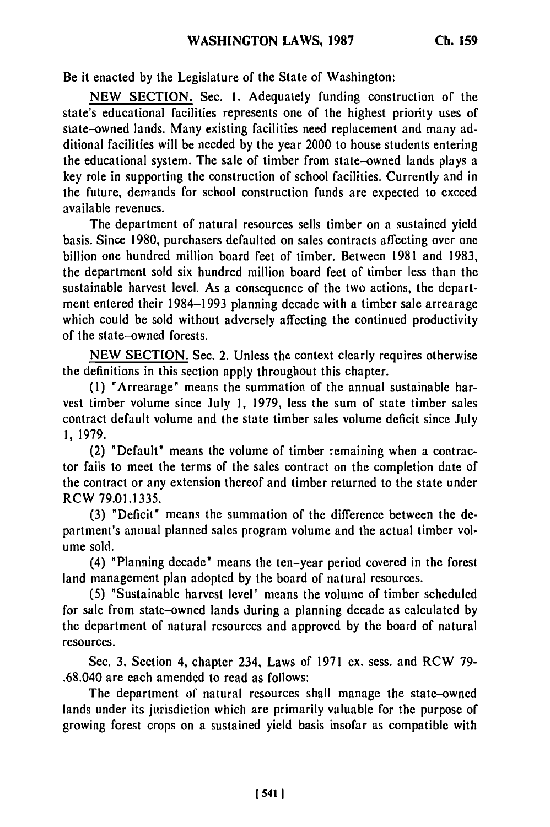Be it enacted **by** the Legislature of the State of Washington:

NEW SECTION. Sec. **1.** Adequately funding construction of the state's educational facilities represents one of the highest priority uses of state-owned lands. Many existing facilities need replacement and many additional facilities will be needed by the year 2000 to house students entering the educational system. The sale of timber from state-owned lands plays a key role in supporting the construction of school facilities. Currently and in the future, demands for school construction funds are expected to exceed available revenues.

The department of natural resources sells timber on a sustained yield basis. Since 1980, purchasers defaulted on sales contracts affecting over one billion one hundred million board feet of timber. Between 1981 and 1983, the department sold six hundred million board feet of timber less than the sustainable harvest level. As a consequence of the two actions, the department entered their 1984-1993 planning decade with a timber sale arrearage which could be sold without adversely affecting the continued productivity of the state-owned forests.

NEW SECTION. Sec. 2. Unless the context clearly requires otherwise the definitions in this section apply throughout this chapter.

(1) "Arrearage" means the summation of the annual sustainable harvest timber volume since July 1, 1979, less the sum of state timber sales contract default volume and the state timber sales volume deficit since July 1, 1979.

(2) "Default" means the volume of timber remaining when a contractor fails to meet the terms of the sales contract on the completion date of the contract or any extension thereof and timber returned to the state under RCW 79.01.1335.

(3) "Deficit" means the summation of the difference between the department's annual planned sales program volume and the actual timber volume sold.

(4) "Planning decade" means the ten-year period covered in the forest land management plan adopted by the board of natural resources.

(5) "Sustainable harvest level" means the volume of timber scheduled for sale from state-owned lands during a planning decade as calculated by the department of natural resources and approved by the board of natural resources.

Sec. 3. Section 4, chapter 234, Laws of 1971 ex. sess. and RCW 79- .68.040 are each amended to read as follows:

The department of natural resources shall manage the state-owned lands under its jurisdiction which are primarily valuable for the purpose of growing forest crops on a sustained yield basis insofar as compatible with